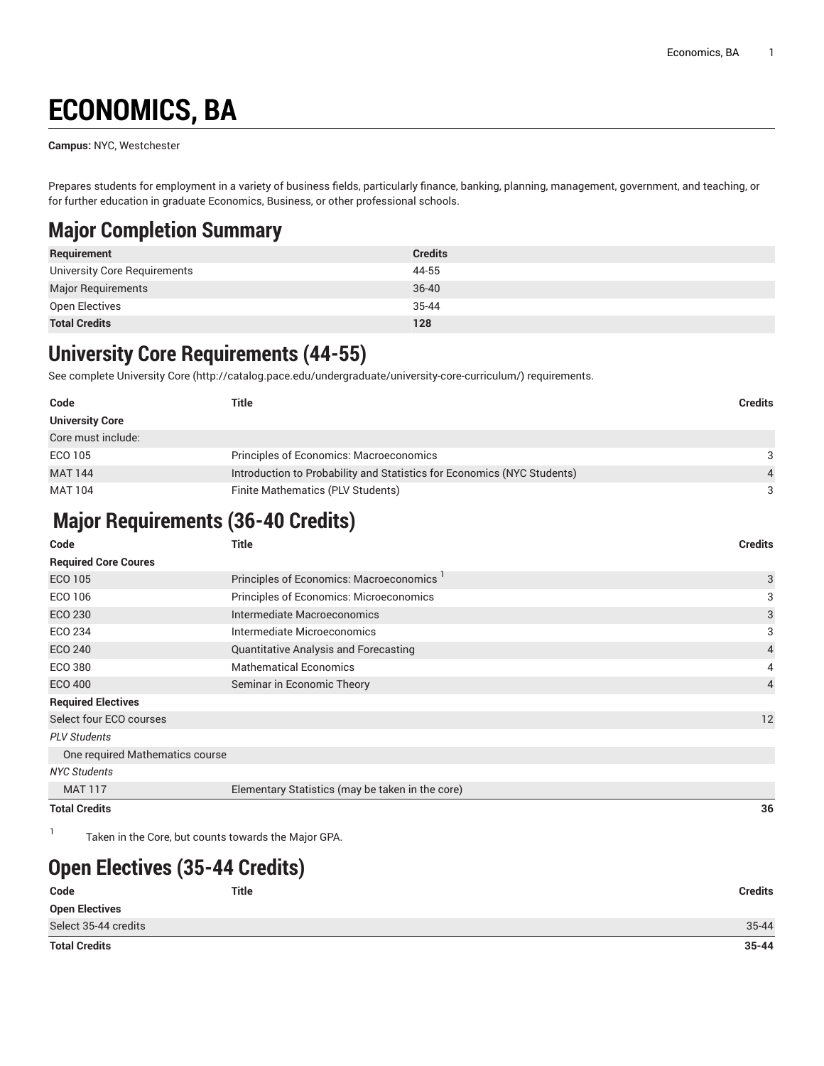# **ECONOMICS, BA**

**Campus:** NYC, Westchester

Prepares students for employment in a variety of business fields, particularly finance, banking, planning, management, government, and teaching, or for further education in graduate Economics, Business, or other professional schools.

## **Major Completion Summary**

| Requirement                  | <b>Credits</b> |
|------------------------------|----------------|
| University Core Requirements | 44-55          |
| <b>Major Requirements</b>    | $36 - 40$      |
| Open Electives               | $35 - 44$      |
| <b>Total Credits</b>         | 128            |

### **University Core Requirements (44-55)**

See complete [University](http://catalog.pace.edu/undergraduate/university-core-curriculum/) Core (<http://catalog.pace.edu/undergraduate/university-core-curriculum/>) requirements.

| Code                   | Title                                                                   | <b>Credits</b> |
|------------------------|-------------------------------------------------------------------------|----------------|
| <b>University Core</b> |                                                                         |                |
| Core must include:     |                                                                         |                |
| ECO 105                | Principles of Economics: Macroeconomics                                 | 3              |
| <b>MAT 144</b>         | Introduction to Probability and Statistics for Economics (NYC Students) | $\overline{4}$ |
| <b>MAT 104</b>         | Finite Mathematics (PLV Students)                                       | 3              |

#### **Major Requirements (36-40 Credits)**

| Code                            | <b>Title</b>                                         | <b>Credits</b> |
|---------------------------------|------------------------------------------------------|----------------|
| <b>Required Core Coures</b>     |                                                      |                |
| <b>ECO 105</b>                  | Principles of Economics: Macroeconomics <sup>1</sup> | 3              |
| ECO 106                         | Principles of Economics: Microeconomics              | 3              |
| ECO 230                         | Intermediate Macroeconomics                          | 3              |
| ECO 234                         | Intermediate Microeconomics                          | 3              |
| ECO 240                         | Quantitative Analysis and Forecasting                | 4              |
| ECO 380                         | <b>Mathematical Economics</b>                        | 4              |
| ECO 400                         | Seminar in Economic Theory                           | 4              |
| <b>Required Electives</b>       |                                                      |                |
| Select four ECO courses         |                                                      | 12             |
| <b>PLV Students</b>             |                                                      |                |
| One required Mathematics course |                                                      |                |
| <b>NYC Students</b>             |                                                      |                |
| <b>MAT 117</b>                  | Elementary Statistics (may be taken in the core)     |                |
| <b>Total Credits</b>            |                                                      | 36             |

1 Taken in the Core, but counts towards the Major GPA.

## **Open Electives (35-44 Credits)**

| Code                  | Title | <b>Credits</b> |
|-----------------------|-------|----------------|
| <b>Open Electives</b> |       |                |
| Select 35-44 credits  |       | $35 - 44$      |
| <b>Total Credits</b>  |       | $35 - 44$      |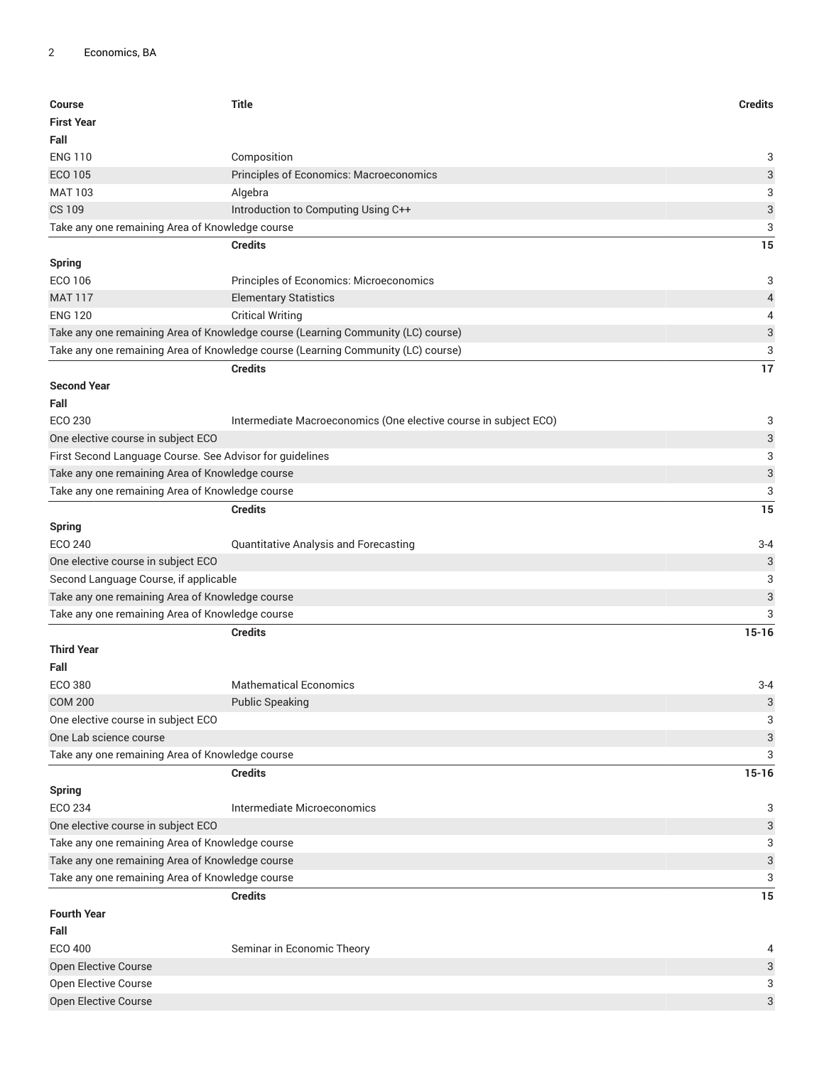| Course<br><b>First Year</b><br>Fall                      | <b>Title</b>                                                                     | <b>Credits</b>            |
|----------------------------------------------------------|----------------------------------------------------------------------------------|---------------------------|
| <b>ENG 110</b>                                           | Composition                                                                      | 3                         |
| <b>ECO 105</b>                                           | Principles of Economics: Macroeconomics                                          | $\ensuremath{\mathsf{3}}$ |
| <b>MAT 103</b>                                           | Algebra                                                                          | 3                         |
| <b>CS 109</b>                                            | Introduction to Computing Using C++                                              | $\ensuremath{\mathsf{3}}$ |
| Take any one remaining Area of Knowledge course          |                                                                                  | 3                         |
|                                                          | <b>Credits</b>                                                                   | 15                        |
| <b>Spring</b>                                            |                                                                                  |                           |
| ECO 106                                                  | Principles of Economics: Microeconomics                                          | 3                         |
| <b>MAT 117</b>                                           | <b>Elementary Statistics</b>                                                     | $\sqrt{4}$                |
| <b>ENG 120</b>                                           | <b>Critical Writing</b>                                                          | 4                         |
|                                                          | Take any one remaining Area of Knowledge course (Learning Community (LC) course) | $\ensuremath{\mathsf{3}}$ |
|                                                          | Take any one remaining Area of Knowledge course (Learning Community (LC) course) | 3                         |
| <b>Second Year</b><br>Fall                               | <b>Credits</b>                                                                   | 17                        |
| ECO 230                                                  | Intermediate Macroeconomics (One elective course in subject ECO)                 | 3                         |
| One elective course in subject ECO                       |                                                                                  | $\sqrt{3}$                |
| First Second Language Course. See Advisor for guidelines |                                                                                  | 3                         |
| Take any one remaining Area of Knowledge course          |                                                                                  | $\ensuremath{\mathsf{3}}$ |
| Take any one remaining Area of Knowledge course          |                                                                                  | 3                         |
|                                                          | <b>Credits</b>                                                                   | 15                        |
| <b>Spring</b>                                            |                                                                                  |                           |
| <b>ECO 240</b>                                           | Quantitative Analysis and Forecasting                                            | $3 - 4$                   |
| One elective course in subject ECO                       |                                                                                  | 3                         |
| Second Language Course, if applicable                    |                                                                                  | 3                         |
| Take any one remaining Area of Knowledge course          |                                                                                  | $\ensuremath{\mathsf{3}}$ |
| Take any one remaining Area of Knowledge course          |                                                                                  | 3                         |
|                                                          | <b>Credits</b>                                                                   | $15 - 16$                 |
| <b>Third Year</b>                                        |                                                                                  |                           |
| Fall                                                     |                                                                                  |                           |
| <b>ECO 380</b>                                           | <b>Mathematical Economics</b>                                                    | $3 - 4$                   |
| <b>COM 200</b>                                           | <b>Public Speaking</b>                                                           | 3                         |
| One elective course in subject ECO                       |                                                                                  | 3                         |
| One Lab science course                                   |                                                                                  | 3                         |
| Take any one remaining Area of Knowledge course          |                                                                                  | 3                         |
|                                                          | <b>Credits</b>                                                                   | $15 - 16$                 |
| <b>Spring</b>                                            |                                                                                  |                           |
| <b>ECO 234</b>                                           | Intermediate Microeconomics                                                      | 3                         |
| One elective course in subject ECO                       |                                                                                  | 3                         |
| Take any one remaining Area of Knowledge course          |                                                                                  | 3                         |
| Take any one remaining Area of Knowledge course          |                                                                                  | 3                         |
| Take any one remaining Area of Knowledge course          |                                                                                  | 3                         |
| <b>Fourth Year</b><br>Fall                               | <b>Credits</b>                                                                   | 15                        |
| <b>ECO 400</b>                                           | Seminar in Economic Theory                                                       | 4                         |
| Open Elective Course                                     |                                                                                  | 3                         |
| Open Elective Course                                     |                                                                                  | 3                         |
| Open Elective Course                                     |                                                                                  | 3                         |